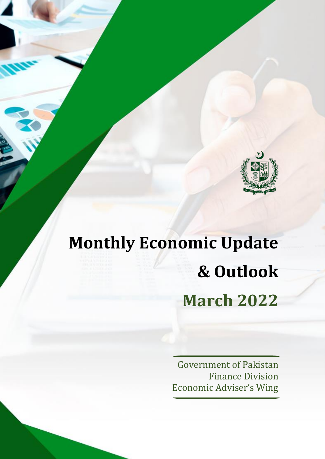

# **Monthly Economic Update & Outlook March 2022**

Government of Pakistan Finance Division Economic Adviser's Wing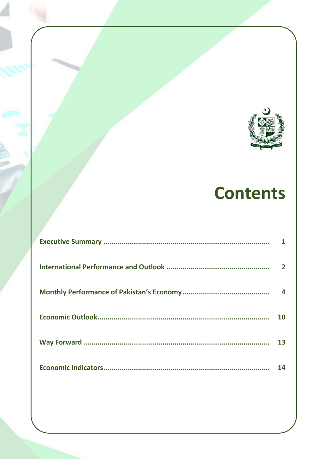

# **Contents**

| $\mathbf{2}$ |
|--------------|
| 4            |
| 10           |
| 13           |
| 14           |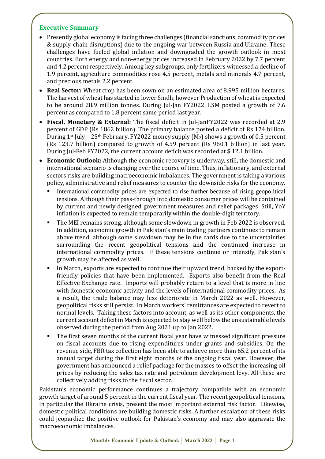#### **Executive Summary**

- Presently global economy is facing three challenges (financial sanctions, commodity prices & supply-chain disruptions) due to the ongoing war between Russia and Ukraine. These challenges have fueled global inflation and downgraded the growth outlook in most countries. Both energy and non-energy prices increased in February 2022 by 7.7 percent and 4.2 percent respectively. Among key subgroups, only fertilizers witnessed a decline of 1.9 percent, agriculture commodities rose 4.5 percent, metals and minerals 4.7 percent, and precious metals 2.2 percent.
- **Real Sector:** Wheat crop has been sown on an estimated area of 8.995 million hectares. The harvest of wheat has started in lower Sindh, however Production of wheat is expected to be around 28.9 million tonnes. During Jul-Jan FY2022, LSM posted a growth of 7.6 percent as compared to 1.8 percent same period last year.
- **Fiscal, Monetary & External:** The fiscal deficit in Jul-JanFY2022 was recorded at 2.9 percent of GDP (Rs 1862 billion). The primary balance posted a deficit of Rs 174 billion. During 1<sup>st</sup> July – 25<sup>th</sup> February, FY2022 money supply  $(M_2)$  shows a growth of 0.5 percent (Rs 123.7 billion) compared to growth of 4.59 percent (Rs 960.1 billion) in last year. During Jul-Feb FY2022, the current account deficit was recorded at \$ 12.1 billion.
- **Economic Outlook:** Although the economic recovery is underway, still, the domestic and international scenario is changing over the course of time. Thus, inflationary, and external sectors risks are building macroeconomic imbalances. The government is taking a various policy, administrative and relief measures to counter the downside risks for the economy.
	- International commodity prices are expected to rise further because of rising geopolitical tensions. Although their pass-through into domestic consumer prices will be contained by current and newly designed government measures and relief packages. Still, YoY inflation is expected to remain temporarily within the double-digit territory.
	- The MEI remains strong, although some slowdown in growth in Feb 2022 is observed. In addition, economic growth in Pakistan's main trading partners continues to remain above trend, although some slowdown may be in the cards due to the uncertainties surrounding the recent geopolitical tensions and the continued increase in international commodity prices. If these tensions continue or intensify, Pakistan's growth may be affected as well.
	- In March, exports are expected to continue their upward trend, backed by the exportfriendly policies that have been implemented. Exports also benefit from the Real Effective Exchange rate. Imports will probably return to a level that is more in line with domestic economic activity and the levels of international commodity prices. As a result, the trade balance may less deteriorate in March 2022 as well. However, geopolitical risks still persist. In March workers' remittances are expected to revert to normal levels. Taking these factors into account, as well as its other components, the current account deficit in March is expected to stay well below the unsustainable levels observed during the period from Aug 2021 up to Jan 2022.
	- The first seven months of the current fiscal year have witnessed significant pressure on fiscal accounts due to rising expenditures under grants and subsidies. On the revenue side, FBR tax collection has been able to achieve more than 65.2 percent of its annual target during the first eight months of the ongoing fiscal year. However, the government has announced a relief package for the masses to offset the increasing oil prices by reducing the sales tax rate and petroleum development levy. All these are collectively adding risks to the fiscal sector.

Pakistan's economic performance continues a trajectory compatible with an economic growth target of around 5 percent in the current fiscal year. The recent geopolitical tensions, in particular the Ukraine crisis, present the most important external risk factor. Likewise, domestic political conditions are building domestic risks. A further escalation of these risks could jeopardize the positive outlook for Pakistan's economy and may also aggravate the macroeconomic imbalances.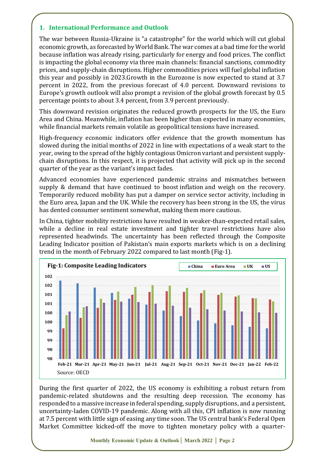# **1. International Performance and Outlook**

The war between Russia-Ukraine is "a catastrophe" for the world which will cut global economic growth, as forecasted by World Bank. The war comes at a bad time for the world because inflation was already rising, particularly for energy and food prices. The conflict is impacting the global economy via three main channels: financial sanctions, commodity prices, and supply-chain disruptions. Higher commodities prices will fuel global inflation this year and possibly in 2023.Growth in the Eurozone is now expected to stand at 3.7 percent in 2022, from the previous forecast of 4.0 percent. Downward revisions to Europe's growth outlook will also prompt a revision of the global growth forecast by 0.5 percentage points to about 3.4 percent, from 3.9 percent previously.

This downward revision originates the reduced growth prospects for the US, the Euro Area and China. Meanwhile, inflation has been higher than expected in many economies, while financial markets remain volatile as geopolitical tensions have increased.

High-frequency economic indicators offer evidence that the growth momentum has slowed during the initial months of 2022 in line with expectations of a weak start to the year, owing to the spread of the highly contagious Omicron variant and persistent supplychain disruptions. In this respect, it is projected that activity will pick up in the second quarter of the year as the variant's impact fades.

Advanced economies have experienced pandemic strains and mismatches between supply & demand that have continued to boost [inflation](https://blogs.imf.org/2022/01/28/global-inflation-pressures-broadened-on-food-and-energy-price-gains/) and weigh on the recovery. Temporarily reduced mobility has put a damper on service sector activity, including in the Euro area, Japan and the UK. While the recovery has been strong in the US, the virus has dented consumer sentiment somewhat, making them more cautious.

In China, tighter mobility restrictions have resulted in weaker-than-expected retail sales, while a decline in real estate investment and tighter travel restrictions have also represented headwinds. The uncertainty has been reflected through the Composite Leading Indicator position of Pakistan's main exports markets which is on a declining trend in the month of February 2022 compared to last month (Fig-1).



During the first quarter of 2022, the US economy is exhibiting a robust return from pandemic-related shutdowns and the resulting deep recession. The economy has responded to a massive increase in federal spending, supply disruptions, and a persistent, uncertainty-laden COVID-19 pandemic. Along with all this, CPI inflation is now running at 7.5 percent with little sign of easing any time soon. The US central bank's Federal Open Market Committee kicked-off the move to tighten monetary policy with a quarter-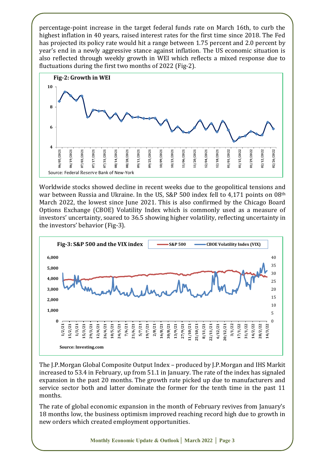percentage-point increase in the target federal funds rate on March 16th, to curb the highest inflation in 40 years, raised interest rates for the first time since 2018. The Fed has projected its policy rate would hit a range between 1.75 percent and 2.0 percent by year's end in a newly aggressive stance against inflation. The US economic situation is also reflected through weekly growth in WEI which reflects a mixed response due to fluctuations during the first two months of 2022 (Fig-2).



Worldwide stocks showed decline in recent weeks due to the geopolitical tensions and war between Russia and Ukraine. In the US, S&P 500 index fell to 4,171 points on 08<sup>th</sup> March 2022, the lowest since June 2021. This is also confirmed by the Chicago Board Options Exchange (CBOE) Volatility Index which is commonly used as a measure of investors' uncertainty, soared to 36.5 showing higher volatility, reflecting uncertainty in the investors' behavior (Fig-3).



The J.P.Morgan Global Composite Output Index – produced by J.P.Morgan and IHS Markit increased to 53.4 in February, up from 51.1 in January. The rate of the index has signaled expansion in the past 20 months. The growth rate picked up due to manufacturers and service sector both and latter dominate the former for the tenth time in the past 11 months.

The rate of global economic expansion in the month of February revives from January's 18 months low, the business optimism improved reaching record high due to growth in new orders which created employment opportunities.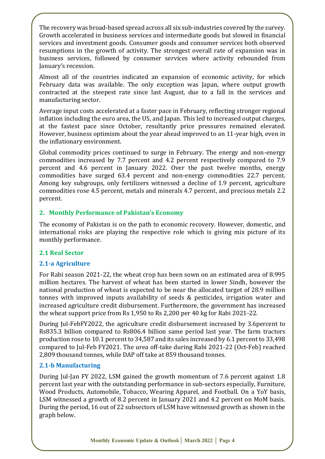The recovery was broad-based spread across all six sub-industries covered by the survey. Growth accelerated in business services and intermediate goods but slowed in financial services and investment goods. Consumer goods and consumer services both observed resumptions in the growth of activity. The strongest overall rate of expansion was in business services, followed by consumer services where activity rebounded from January's recession.

Almost all of the countries indicated an expansion of economic activity, for which February data was available. The only exception was Japan, where output growth contracted at the steepest rate since last August, due to a fall in the services and manufacturing sector.

Average input costs accelerated at a faster pace in February, reflecting stronger regional inflation including the euro area, the US, and Japan. This led to increased output charges, at the fastest pace since October, resultantly price pressures remained elevated. However, business optimism about the year ahead improved to an 11-year high, even in the inflationary environment.

Global commodity prices continued to surge in February. The energy and non-energy commodities increased by 7.7 percent and 4.2 percent respectively compared to 7.9 percent and 4.6 percent in January 2022. Over the past twelve months, energy commodities have surged 63.4 percent and non-energy commodities 22.7 percent. Among key subgroups, only fertilizers witnessed a decline of 1.9 percent, agriculture commodities rose 4.5 percent, metals and minerals 4.7 percent, and precious metals 2.2 percent.

#### **2. Monthly Performance of Pakistan's Economy**

The economy of Pakistan is on the path to economic recovery. However, domestic, and international risks are playing the respective role which is giving mix picture of its monthly performance.

#### **2.1 Real Sector**

# **2.1-a Agriculture**

For Rabi season 2021-22, the wheat crop has been sown on an estimated area of 8.995 million hectares. The harvest of wheat has been started in lower Sindh, however the national production of wheat is expected to be near the allocated target of 28.9 million tonnes with improved inputs availability of seeds & pesticides, irrigation water and increased agriculture credit disbursement. Furthermore, the government has increased the wheat support price from Rs 1,950 to Rs 2,200 per 40 kg for Rabi 2021-22.

During Jul-FebFY2022, the agriculture credit disbursement increased by 3.6percent to Rs835.3 billion compared to Rs806.4 billion same period last year. The farm tractors production rose to 10.1 percent to 34,587 and its sales increased by 6.1 percent to 33,498 compared to Jul-Feb FY2021. The urea off-take during Rabi 2021-22 (Oct-Feb) reached 2,809 thousand tonnes, while DAP off take at 859 thousand tonnes.

#### **2.1-b Manufacturing**

During Jul-Jan FY 2022, LSM gained the growth momentum of 7.6 percent against 1.8 percent last year with the outstanding performance in sub-sectors especially, Furniture, Wood Products, Automobile, Tobacco, Wearing Apparel, and Football. On a YoY basis, LSM witnessed a growth of 8.2 percent in January 2021 and 4.2 percent on MoM basis. During the period, 16 out of 22 subsectors of LSM have witnessed growth as shown in the graph below.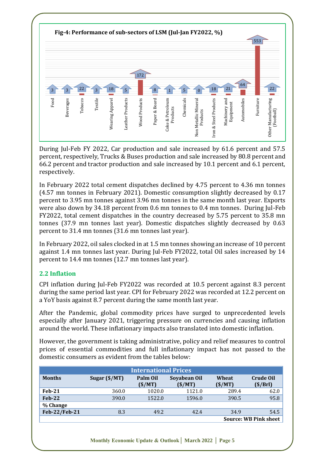

During Jul-Feb FY 2022, Car production and sale increased by 61.6 percent and 57.5 percent, respectively, Trucks & Buses production and sale increased by 80.8 percent and 66.2 percent and tractor production and sale increased by 10.1 percent and 6.1 percent, respectively.

In February 2022 total cement dispatches declined by 4.75 percent to 4.36 mn tonnes (4.57 mn tonnes in February 2021). Domestic consumption slightly decreased by 0.17 percent to 3.95 mn tonnes against 3.96 mn tonnes in the same month last year. Exports were also down by 34.18 percent from 0.6 mn tonnes to 0.4 mn tonnes. During Jul-Feb FY2022, total cement dispatches in the country decreased by 5.75 percent to 35.8 mn tonnes (37.9 mn tonnes last year). Domestic dispatches slightly decreased by 0.63 percent to 31.4 mn tonnes (31.6 mn tonnes last year).

In February 2022, oil sales clocked in at 1.5 mn tonnes showing an increase of 10 percent against 1.4 mn tonnes last year. During Jul-Feb FY2022, total Oil sales increased by 14 percent to 14.4 mn tonnes (12.7 mn tonnes last year).

# **2.2 Inflation**

CPI inflation during Jul-Feb FY2022 was recorded at 10.5 percent against 8.3 percent during the same period last year. CPI for February 2022 was recorded at 12.2 percent on a YoY basis against 8.7 percent during the same month last year.

After the Pandemic, global commodity prices have surged to unprecedented levels especially after January 2021, triggering pressure on currencies and causing inflation around the world. These inflationary impacts also translated into domestic inflation.

However, the government is taking administrative, policy and relief measures to control prices of essential commodities and full inflationary impact has not passed to the domestic consumers as evident from the tables below:

| <b>International Prices</b>  |                        |                    |                        |                 |                              |  |
|------------------------------|------------------------|--------------------|------------------------|-----------------|------------------------------|--|
| <b>Months</b>                | Sugar $(\frac{5}{MT})$ | Palm Oil<br>(S/MT) | Soyabean Oil<br>(S/MT) | Wheat<br>(S/MT) | <b>Crude Oil</b><br>(\$/Brl) |  |
| <b>Feb-21</b>                | 360.0                  | 1020.0             | 1121.0                 | 289.4           | 62.0                         |  |
| $Feb-22$                     | 390.0                  | 1522.0             | 1596.0                 | 390.5           | 95.8                         |  |
| % Change                     |                        |                    |                        |                 |                              |  |
| Feb-22/Feb-21                | 8.3                    | 49.2               | 42.4                   | 34.9            | 54.5                         |  |
| <b>Source: WB Pink sheet</b> |                        |                    |                        |                 |                              |  |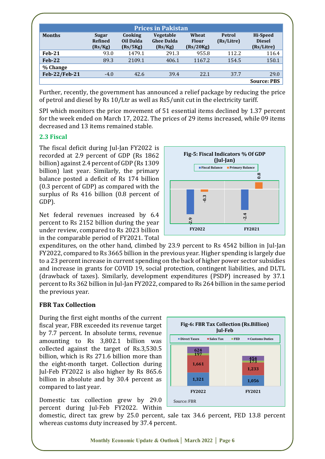| <b>Prices in Pakistan</b> |                                    |                                  |                                                  |                                    |                      |                                         |
|---------------------------|------------------------------------|----------------------------------|--------------------------------------------------|------------------------------------|----------------------|-----------------------------------------|
| <b>Months</b>             | Sugar<br><b>Refined</b><br>(Rs/Kg) | Cooking<br>Oil Dalda<br>(Rs/5Kg) | <b>Vegetable</b><br><b>Ghee Dalda</b><br>(Rs/Kg) | Wheat<br><b>Flour</b><br>(Rs/20Kg) | Petrol<br>(Rs/Litre) | Hi-Speed<br><b>Diesel</b><br>(Rs/Litre) |
| $Feb-21$                  | 93.0                               | 1479.1                           | 291.3                                            | 955.8                              | 112.2                | 116.4                                   |
| $Feb-22$                  | 89.3                               | 2109.1                           | 406.1                                            | 1167.2                             | 154.5                | 150.1                                   |
| % Change                  |                                    |                                  |                                                  |                                    |                      |                                         |
| Feb-22/Feb-21             | $-4.0$                             | 42.6                             | 39.4                                             | 22.1                               | 37.7                 | 29.0                                    |
|                           |                                    |                                  |                                                  |                                    |                      | <b>Source: PBS</b>                      |

Further, recently, the government has announced a relief package by reducing the price of petrol and diesel by Rs 10/Ltr as well as Rs5/unit cut in the electricity tariff.

SPI which monitors the price movement of 51 essential items declined by 1.37 percent for the week ended on March 17, 2022. The prices of 29 items increased, while 09 items decreased and 13 items remained stable.

#### **2.3 Fiscal**

The fiscal deficit during Jul-Jan FY2022 is recorded at 2.9 percent of GDP (Rs 1862 billion) against 2.4 percent of GDP (Rs 1309 billion) last year. Similarly, the primary balance posted a deficit of Rs 174 billion (0.3 percent of GDP) as compared with the surplus of Rs 416 billion (0.8 percent of GDP).

Net federal revenues increased by 6.4 percent to Rs 2152 billion during the year under review, compared to Rs 2023 billion in the comparable period of FY2021. Total



expenditures, on the other hand, climbed by 23.9 percent to Rs 4542 billion in Jul-Jan FY2022, compared to Rs 3665 billion in the previous year. Higher spending is largely due to a 23 percent increase in current spending on the back of higher power sector subsidies and increase in grants for COVID 19, social protection, contingent liabilities, and DLTL (drawback of taxes). Similarly, development expenditures (PSDP) increased by 37.1 percent to Rs 362 billion in Jul-Jan FY2022, compared to Rs 264 billion in the same period the previous year.

#### **FBR Tax Collection**

During the first eight months of the current fiscal year, FBR exceeded its revenue target by 7.7 percent. In absolute terms, revenue amounting to Rs 3,802.1 billion was collected against the target of Rs.3,530.5 billion, which is Rs 271.6 billion more than the eight-month target. Collection during Jul-Feb FY2022 is also higher by Rs 865.6 billion in absolute and by 30.4 percent as compared to last year.

Domestic tax collection grew by 29.0 percent during Jul-Feb FY2022. Within



domestic, direct tax grew by 25.0 percent, sale tax 34.6 percent, FED 13.8 percent whereas customs duty increased by 37.4 percent.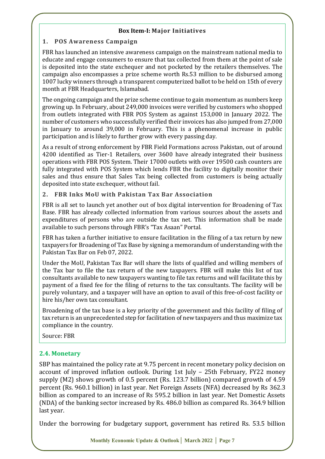#### **Box Item-I: Major Initiatives**

#### **1. POS Awareness Campaign**

FBR has launched an intensive awareness campaign on the mainstream national media to educate and engage consumers to ensure that tax collected from them at the point of sale is deposited into the state exchequer and not pocketed by the retailers themselves. The campaign also encompasses a prize scheme worth Rs.53 million to be disbursed among 1007 lucky winners through a transparent computerized ballot to be held on 15th of every month at FBR Headquarters, Islamabad.

The ongoing campaign and the prize scheme continue to gain momentum as numbers keep growing up. In February, about 249,000 invoices were verified by customers who shopped from outlets integrated with FBR POS System as against 153,000 in January 2022. The number of customers who successfully verified their invoices has also jumped from 27,000 in January to around 39,000 in February. This is a phenomenal increase in public participation and is likely to further grow with every passing day.

As a result of strong enforcement by FBR Field Formations across Pakistan, out of around 4200 identified as Tier-1 Retailers, over 3600 have already integrated their business operations with FBR POS System. Their 17000 outlets with over 19500 cash counters are fully integrated with POS System which lends FBR the facility to digitally monitor their sales and thus ensure that Sales Tax being collected from customers is being actually deposited into state exchequer, without fail.

#### **2. FBR Inks MoU with Pakistan Tax Bar Association**

FBR is all set to launch yet another out of box digital intervention for Broadening of Tax Base. FBR has already collected information from various sources about the assets and expenditures of persons who are outside the tax net. This information shall be made available to such persons through FBR's "Tax Asaan" Portal.

FBR has taken a further initiative to ensure facilitation in the filing of a tax return by new taxpayers for Broadening of Tax Base by signing a memorandum of understanding with the Pakistan Tax Bar on Feb 07, 2022.

Under the MoU, Pakistan Tax Bar will share the lists of qualified and willing members of the Tax bar to file the tax return of the new taxpayers. FBR will make this list of tax consultants available to new taxpayers wanting to file tax returns and will facilitate this by payment of a fixed fee for the filing of returns to the tax consultants. The facility will be purely voluntary, and a taxpayer will have an option to avail of this free-of-cost facility or hire his/her own tax consultant.

Broadening of the tax base is a key priority of the government and this facility of filing of tax return is an unprecedented step for facilitation of new taxpayers and thus maximize tax compliance in the country.

Source: FBR

# **2.4. Monetary**

SBP has maintained the policy rate at 9.75 percent in recent monetary policy decision on account of improved inflation outlook. During 1st July – 25th February, FY22 money supply (M2) shows growth of 0.5 percent (Rs. 123.7 billion) compared growth of 4.59 percent (Rs. 960.1 billion) in last year. Net Foreign Assets (NFA) decreased by Rs 362.3 billion as compared to an increase of Rs 595.2 billion in last year. Net Domestic Assets (NDA) of the banking sector increased by Rs. 486.0 billion as compared Rs. 364.9 billion last year.

Under the borrowing for budgetary support, government has retired Rs. 53.5 billion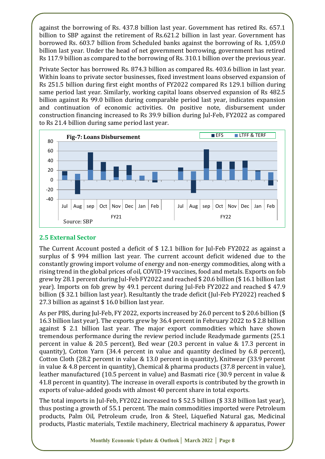against the borrowing of Rs. 437.8 billion last year. Government has retired Rs. 657.1 billion to SBP against the retirement of Rs.621.2 billion in last year. Government has borrowed Rs. 603.7 billion from Scheduled banks against the borrowing of Rs. 1,059.0 billion last year. Under the head of net government borrowing, government has retired Rs 117.9 billion as compared to the borrowing of Rs. 310.1 billion over the previous year.

Private Sector has borrowed Rs. 874.3 billion as compared Rs. 403.6 billion in last year. Within loans to private sector businesses, fixed investment loans observed expansion of Rs 251.5 billion during first eight months of FY2022 compared Rs 129.1 billion during same period last year. Similarly, working capital loans observed expansion of Rs 482.5 billion against Rs 99.0 billion during comparable period last year, indicates expansion and continuation of economic activities. On positive note, disbursement under construction financing increased to Rs 39.9 billion during Jul-Feb, FY2022 as compared to Rs 21.4 billion during same period last year.



# **2.5 External Sector**

The Current Account posted a deficit of \$ 12.1 billion for Jul-Feb FY2022 as against a surplus of \$ 994 million last year. The current account deficit widened due to the constantly growing import volume of energy and non-energy commodities, along with a rising trend in the global prices of oil, COVID-19 vaccines, food and metals. Exports on fob grew by 28.1 percent during Jul-Feb FY2022 and reached \$ 20.6 billion (\$ 16.1 billion last year). Imports on fob grew by 49.1 percent during Jul-Feb FY2022 and reached \$ 47.9 billion (\$ 32.1 billion last year). Resultantly the trade deficit (Jul-Feb FY2022) reached \$ 27.3 billion as against \$ 16.0 billion last year.

As per PBS, during Jul-Feb, FY 2022, exports increased by 26.0 percent to \$ 20.6 billion (\$ 16.3 billion last year). The exports grew by 36.4 percent in February 2022 to \$ 2.8 billion against \$ 2.1 billion last year. The major export commodities which have shown tremendous performance during the review period include Readymade garments (25.1 percent in value & 20.5 percent), Bed wear (20.3 percent in value & 17.3 percent in quantity), Cotton Yarn (34.4 percent in value and quantity declined by 6.8 percent), Cotton Cloth (28.2 percent in value & 13.0 percent in quantity), Knitwear (33.9 percent in value & 4.8 percent in quantity), Chemical & pharma products (37.8 percent in value), leather manufactured (10.5 percent in value) and Basmati rice (30.9 percent in value & 41.8 percent in quantity). The increase in overall exports is contributed by the growth in exports of value-added goods with almost 40 percent share in total exports.

The total imports in Jul-Feb, FY2022 increased to \$ 52.5 billion (\$ 33.8 billion last year), thus posting a growth of 55.1 percent. The main commodities imported were Petroleum products, Palm Oil, Petroleum crude, Iron & Steel, Liquefied Natural gas, Medicinal products, Plastic materials, Textile machinery, Electrical machinery & apparatus, Power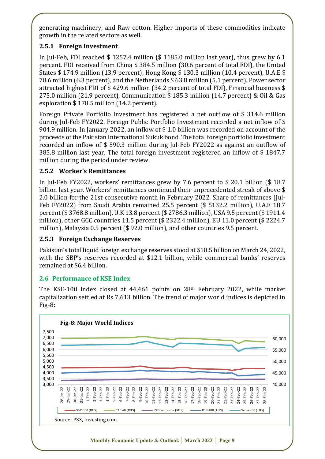generating machinery, and Raw cotton. Higher imports of these commodities indicate growth in the related sectors as well.

# **2.5.1 Foreign Investment**

In Jul-Feb, FDI reached \$ 1257.4 million (\$ 1185.0 million last year), thus grew by 6.1 percent. FDI received from China \$ 384.5 million (30.6 percent of total FDI), the United States \$ 174.9 million (13.9 percent), Hong Kong \$ 130.3 million (10.4 percent), U.A.E \$ 78.6 million (6.3 percent), and the Netherlands \$ 63.8 million (5.1 percent). Power sector attracted highest FDI of \$ 429.6 million (34.2 percent of total FDI), Financial business \$ 275.0 million (21.9 percent), Communication \$ 185.3 million (14.7 percent) & Oil & Gas exploration \$ 178.5 million (14.2 percent).

Foreign Private Portfolio Investment has registered a net outflow of \$ 314.6 million during Jul-Feb FY2022. Foreign Public Portfolio Investment recorded a net inflow of \$ 904.9 million. In January 2022, an inflow of \$ 1.0 billion was recorded on account of the proceeds of the Pakistan International Sukuk bond. The total foreign portfolio investment recorded an inflow of \$ 590.3 million during Jul-Feb FY2022 as against an outflow of 385.8 million last year. The total foreign investment registered an inflow of \$ 1847.7 million during the period under review.

# **2.5.2 Worker's Remittances**

In Jul-Feb FY2022, workers' remittances grew by 7.6 percent to \$ 20.1 billion (\$ 18.7 billion last year. Workers' remittances continued their unprecedented streak of above \$ 2.0 billion for the 21st consecutive month in February 2022. Share of remittances (Jul-Feb FY2022) from Saudi Arabia remained 25.5 percent (\$ 5132.2 million), U.A.E 18.7 percent (\$ 3768.8 million), U.K 13.8 percent (\$ 2786.3 million), USA 9.5 percent (\$ 1911.4 million), other GCC countries 11.5 percent (\$ 2322.4 million), EU 11.0 percent (\$ 2224.7 million), Malaysia 0.5 percent (\$ 92.0 million), and other countries 9.5 percent.

# **2.5.3 Foreign Exchange Reserves**

Pakistan's total liquid foreign exchange reserves stood at \$18.5 billion on March 24, 2022, with the SBP's reserves recorded at \$12.1 billion, while commercial banks' reserves remained at \$6.4 billion.

# **2.6 Performance of KSE Index**

The KSE-100 index closed at 44,461 points on 28th February 2022, while market capitalization settled at Rs 7,613 billion. The trend of major world indices is depicted in Fig-8:

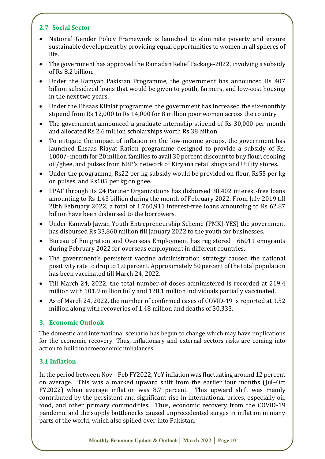# **2.7 Social Sector**

- National Gender Policy Framework is launched to eliminate poverty and ensure sustainable development by providing equal opportunities to women in all spheres of life.
- The government has approved the Ramadan Relief Package-2022, involving a subsidy of Rs 8.2 billion.
- Under the Kamyab Pakistan Programme, the government has announced Rs 407 billion subsidized loans that would be given to youth, farmers, and low-cost housing in the next two years.
- Under the Ehsaas Kifalat programme, the government has increased the six-monthly stipend from Rs 12,000 to Rs 14,000 for 8 million poor women across the country
- The government announced a graduate internship stipend of Rs 30,000 per month and allocated Rs 2.6 million scholarships worth Rs 38 billion.
- To mitigate the impact of inflation on the low-income groups, the government has launched Ehsaas Riayat Ration programme designed to provide a subsidy of Rs. 1000/- month for 20 million families to avail 30 percent discount to buy flour, cooking oil/ghee, and pulses from NBP's network of Kiryana retail shops and Utility stores.
- Under the programme, Rs22 per kg subsidy would be provided on flour, Rs55 per kg on pulses, and Rs105 per kg on ghee.
- PPAF through its 24 Partner Organizations has disbursed 38,402 interest-free loans amounting to Rs 1.43 billion during the month of February 2022. From July 2019 till 28th February 2022, a total of 1,760,911 interest-free loans amounting to Rs 62.87 billion have been disbursed to the borrowers.
- Under Kamyab Jawan Youth Entrepreneurship Scheme (PMKJ-YES) the government has disbursed Rs 33,860 million till January 2022 to the youth for businesses.
- Bureau of Emigration and Overseas Employment has registered 66011 emigrants during February 2022 for overseas employment in different countries.
- The government's persistent vaccine administration strategy caused the national positivity rate to drop to 1.0 percent. Approximately 50 percent of the total population has been vaccinated till March 24, 2022.
- Till March 24, 2022, the total number of doses administered is recorded at 219.4 million with 101.9 million fully and 128.1 million individuals partially vaccinated.
- As of March 24, 2022, the number of confirmed cases of COVID-19 is reported at 1.52 million along with recoveries of 1.48 million and deaths of 30,333.

# **3. Economic Outlook**

The domestic and international scenario has begun to change which may have implications for the economic recovery. Thus, inflationary and external sectors risks are coming into action to build macroeconomic imbalances.

# **3.1 Inflation**

In the period between Nov – Feb FY2022, YoY inflation was fluctuating around 12 percent on average. This was a marked upward shift from the earlier four months (Jul–Oct FY2022) when average inflation was 8.7 percent. This upward shift was mainly contributed by the persistent and significant rise in international prices, especially oil, food, and other primary commodities. Thus, economic recovery from the COVID-19 pandemic and the supply bottlenecks caused unprecedented surges in inflation in many parts of the world, which also spilled over into Pakistan.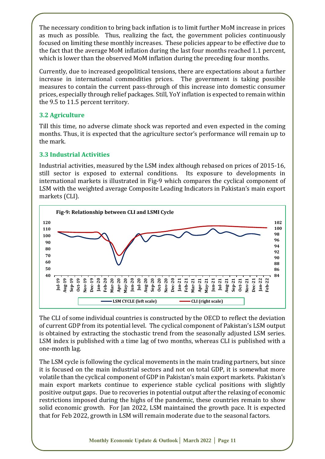The necessary condition to bring back inflation is to limit further MoM increase in prices as much as possible. Thus, realizing the fact, the government policies continuously focused on limiting these monthly increases. These policies appear to be effective due to the fact that the average MoM inflation during the last four months reached 1.1 percent, which is lower than the observed MoM inflation during the preceding four months.

Currently, due to increased geopolitical tensions, there are expectations about a further increase in international commodities prices. The government is taking possible measures to contain the current pass-through of this increase into domestic consumer prices, especially through relief packages. Still, YoY inflation is expected to remain within the 9.5 to 11.5 percent territory.

# **3.2 Agriculture**

Till this time, no adverse climate shock was reported and even expected in the coming months. Thus, it is expected that the agriculture sector's performance will remain up to the mark.

# **3.3 Industrial Activities**

Industrial activities, measured by the LSM index although rebased on prices of 2015-16, still sector is exposed to external conditions. Its exposure to developments in international markets is illustrated in Fig-9 which compares the cyclical component of LSM with the weighted average Composite Leading Indicators in Pakistan's main export markets (CLI).



The CLI of some individual countries is constructed by the OECD to reflect the deviation of current GDP from its potential level. The cyclical component of Pakistan's LSM output is obtained by extracting the stochastic trend from the seasonally adjusted LSM series. LSM index is published with a time lag of two months, whereas CLI is published with a one-month lag.

The LSM cycle is following the cyclical movements in the main trading partners, but since it is focused on the main industrial sectors and not on total GDP, it is somewhat more volatile than the cyclical component of GDP in Pakistan's main export markets. Pakistan's main export markets continue to experience stable cyclical positions with slightly positive output gaps. Due to recoveries in potential output after the relaxing of economic restrictions imposed during the highs of the pandemic, these countries remain to show solid economic growth. For Jan 2022, LSM maintained the growth pace. It is expected that for Feb 2022, growth in LSM will remain moderate due to the seasonal factors.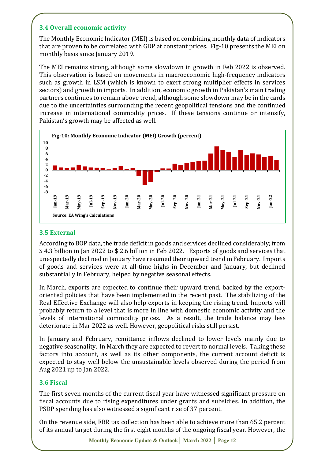# **3.4 Overall economic activity**

The Monthly Economic Indicator (MEI) is based on combining monthly data of indicators that are proven to be correlated with GDP at constant prices. Fig-10 presents the MEI on monthly basis since January 2019.

The MEI remains strong, although some slowdown in growth in Feb 2022 is observed. This observation is based on movements in macroeconomic high-frequency indicators such as growth in LSM (which is known to exert strong multiplier effects in services sectors) and growth in imports. In addition, economic growth in Pakistan's main trading partners continues to remain above trend, although some slowdown may be in the cards due to the uncertainties surrounding the recent geopolitical tensions and the continued increase in international commodity prices. If these tensions continue or intensify, Pakistan's growth may be affected as well.



# **3.5 External**

According to BOP data, the trade deficit in goods and services declined considerably; from \$ 4.3 billion in Jan 2022 to \$ 2.6 billion in Feb 2022. Exports of goods and services that unexpectedly declined in January have resumed their upward trend in February. Imports of goods and services were at all-time highs in December and January, but declined substantially in February, helped by negative seasonal effects.

In March, exports are expected to continue their upward trend, backed by the exportoriented policies that have been implemented in the recent past. The stabilizing of the Real Effective Exchange will also help exports in keeping the rising trend. Imports will probably return to a level that is more in line with domestic economic activity and the levels of international commodity prices. As a result, the trade balance may less deteriorate in Mar 2022 as well. However, geopolitical risks still persist.

In January and February, remittance inflows declined to lower levels mainly due to negative seasonality. In March they are expected to revert to normal levels. Taking these factors into account, as well as its other components, the current account deficit is expected to stay well below the unsustainable levels observed during the period from Aug 2021 up to Jan 2022.

# **3.6 Fiscal**

The first seven months of the current fiscal year have witnessed significant pressure on fiscal accounts due to rising expenditures under grants and subsidies. In addition, the PSDP spending has also witnessed a significant rise of 37 percent.

On the revenue side, FBR tax collection has been able to achieve more than 65.2 percent of its annual target during the first eight months of the ongoing fiscal year. However, the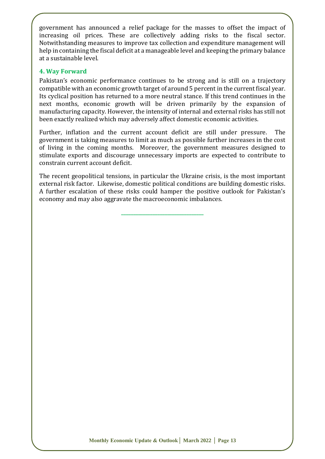government has announced a relief package for the masses to offset the impact of increasing oil prices. These are collectively adding risks to the fiscal sector. Notwithstanding measures to improve tax collection and expenditure management will help in containing the fiscal deficit at a manageable level and keeping the primary balance at a sustainable level.

#### **4. Way Forward**

Pakistan's economic performance continues to be strong and is still on a trajectory compatible with an economic growth target of around 5 percent in the current fiscal year. Its cyclical position has returned to a more neutral stance. If this trend continues in the next months, economic growth will be driven primarily by the expansion of manufacturing capacity. However, the intensity of internal and external risks has still not been exactly realized which may adversely affect domestic economic activities.

Further, inflation and the current account deficit are still under pressure. The government is taking measures to limit as much as possible further increases in the cost of living in the coming months. Moreover, the government measures designed to stimulate exports and discourage unnecessary imports are expected to contribute to constrain current account deficit.

The recent geopolitical tensions, in particular the Ukraine crisis, is the most important external risk factor. Likewise, domestic political conditions are building domestic risks. A further escalation of these risks could hamper the positive outlook for Pakistan's economy and may also aggravate the macroeconomic imbalances.

**\_\_\_\_\_\_\_\_\_\_\_\_\_\_\_\_\_\_\_\_\_\_\_\_\_\_\_\_\_\_\_\_\_\_**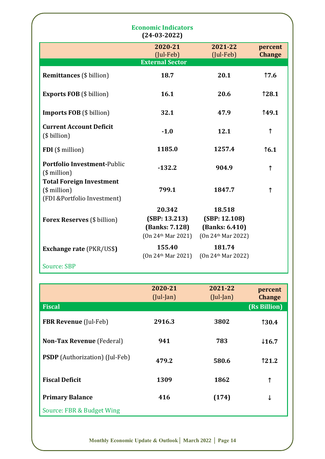|                                                                                    | <b>Economic Indicators</b><br>$(24-03-2022)$                                  |                                                                 |                          |
|------------------------------------------------------------------------------------|-------------------------------------------------------------------------------|-----------------------------------------------------------------|--------------------------|
|                                                                                    | 2020-21<br>$(Jul-Feb)$<br><b>External Sector</b>                              | 2021-22<br>$(Jul-Feb)$                                          | percent<br><b>Change</b> |
| <b>Remittances</b> (\$ billion)                                                    | 18.7                                                                          | 20.1                                                            | 17.6                     |
| <b>Exports FOB</b> (\$ billion)                                                    | 16.1                                                                          | 20.6                                                            | 128.1                    |
| <b>Imports FOB</b> (\$ billion)                                                    | 32.1                                                                          | 47.9                                                            | <b>149.1</b>             |
| <b>Current Account Deficit</b><br>(\$ billion)                                     | $-1.0$                                                                        | 12.1                                                            | ↑                        |
| FDI (\$ million)                                                                   | 1185.0                                                                        | 1257.4                                                          | 16.1                     |
| <b>Portfolio Investment-Public</b><br>$($$ million $)$                             | $-132.2$                                                                      | 904.9                                                           | $\uparrow$               |
| <b>Total Foreign Investment</b><br>$($$ million $)$<br>(FDI &Portfolio Investment) | 799.1                                                                         | 1847.7                                                          | $\uparrow$               |
| <b>Forex Reserves</b> (\$ billion)                                                 | 20.342<br>(SBP: 13.213)<br>(Banks: 7.128)<br>$(0n 24$ <sup>th</sup> Mar 2021) | 18.518<br>(SBP: 12.108)<br>(Banks: 6.410)<br>(On 24th Mar 2022) |                          |
| <b>Exchange rate (PKR/US\$)</b>                                                    | 155.40<br>$(0n 24$ <sup>th</sup> Mar 2021)                                    | 181.74<br>(On 24th Mar 2022)                                    |                          |
| <b>Source: SBP</b>                                                                 |                                                                               |                                                                 |                          |

|                                       | 2020-21<br>$($ Jul-Jan $)$ | 2021-22<br>$($ Jul-Jan $)$ | percent<br><b>Change</b> |
|---------------------------------------|----------------------------|----------------------------|--------------------------|
| <b>Fiscal</b>                         |                            |                            | (Rs Billion)             |
| <b>FBR Revenue</b> (Jul-Feb)          | 2916.3                     | 3802                       | <b>130.4</b>             |
| <b>Non-Tax Revenue</b> (Federal)      | 941                        | 783                        | $\downarrow$ 16.7        |
| <b>PSDP</b> (Authorization) (Jul-Feb) | 479.2                      | 580.6                      | 121.2                    |
| <b>Fiscal Deficit</b>                 | 1309                       | 1862                       | ↑                        |
| <b>Primary Balance</b>                | 416                        | (174)                      | ↓                        |
| Source: FBR & Budget Wing             |                            |                            |                          |